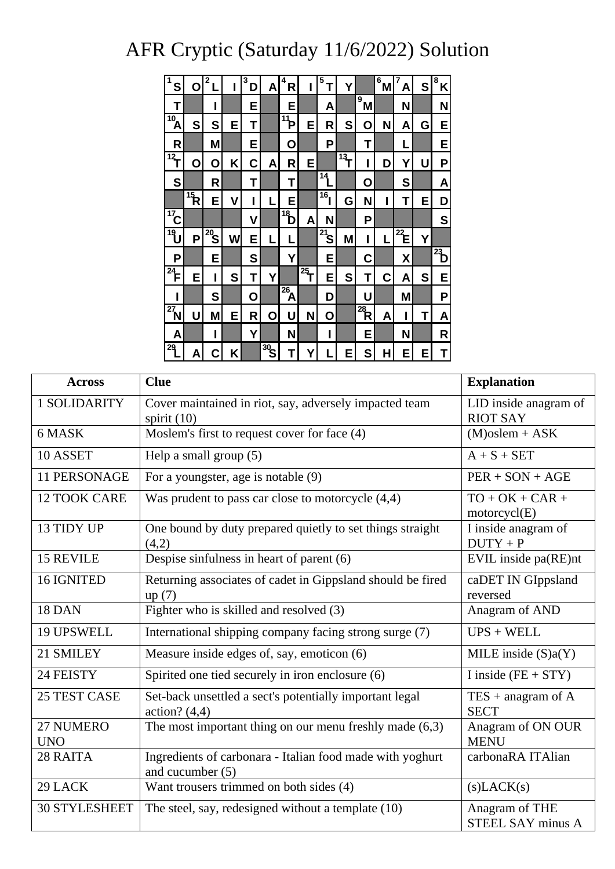## AFR Cryptic (Saturday 11/6/2022) Solution

| S                         | O              | 2              |   | 3<br>D | Α              | 4<br>R            | ı              | 5<br>T          | Y              |                         | 6<br>Μ | 7<br>А         | S | 8<br>Κ         |
|---------------------------|----------------|----------------|---|--------|----------------|-------------------|----------------|-----------------|----------------|-------------------------|--------|----------------|---|----------------|
| Τ                         |                | ı              |   | Е      |                | E                 |                | A               |                | 9<br>M                  |        | N              |   | N              |
| $\overline{\mathbf{A}}$   | S              | S              | Ε | T      |                | $\overline{11}P$  | E              | R               | S              | О                       | N      | Α              | G | Е              |
| R                         |                | Μ              |   | Ε      |                | Ο                 |                | Ρ               |                | Τ                       |        | L              |   | Е              |
| $\overline{12}$           | Ο              | O              | Κ | С      | A              | R                 | E              |                 | $\frac{1}{13}$ | ı                       | D      | Y              | U | Ρ              |
| S                         |                | R              |   | Τ      |                | Τ                 |                | 14              |                | О                       |        | S              |   | A              |
|                           | $\frac{1}{15}$ | E              | ۷ | ı      |                | Е                 |                | 16 <sub>1</sub> | G              | N                       | ı      | Τ              | Е | D              |
| $\frac{1}{17}$            |                |                |   | ٧      |                | $\overline{18}$   | A              | N               |                | Ρ                       |        |                |   | S              |
| $\overline{\mathbf{P}}$   | P              | $\frac{1}{20}$ | W | Е      | L              | L                 |                | $\sqrt{21}$ S   | M              | ı                       | L      | $\frac{1}{22}$ | Y |                |
| P                         |                | E              |   | S      |                | Υ                 |                | Ε               |                | С                       |        | χ              |   | $\overline{a}$ |
| $\overline{^{24}}$ F      | E              | ı              | S | Τ      | Υ              |                   | $\frac{1}{25}$ | Е               | S              | Τ                       | С      | A              | S | Е              |
| ı                         |                | S              |   | Ο      |                | $\frac{26}{26}$ A |                | D               |                | Ù                       |        | Μ              |   | Ρ              |
| $\overline{\mathbf{z}}_N$ | U              | M              | E | R      | Ο              | U                 | N              | O               |                | $\overline{\mathbf{R}}$ | A      | ı              | Τ | Α              |
| Α                         |                | ı              |   | Y      |                | N                 |                | ı               |                | Е                       |        | N              |   | R              |
| 29                        | A              | C              | Κ |        | $\frac{1}{30}$ | Τ                 | Y              |                 | Ε              | S                       | Н      | Ε              | Ε | Τ              |

| <b>Across</b>           | <b>Clue</b>                                                                     | <b>Explanation</b>                         |
|-------------------------|---------------------------------------------------------------------------------|--------------------------------------------|
| 1 SOLIDARITY            | Cover maintained in riot, say, adversely impacted team<br>spirit $(10)$         | LID inside anagram of<br><b>RIOT SAY</b>   |
| 6 MASK                  | Moslem's first to request cover for face (4)                                    | $(M)$ oslem + ASK                          |
| 10 ASSET                | Help a small group (5)                                                          | $A + S + SET$                              |
| <b>11 PERSONAGE</b>     | For a youngster, age is notable (9)                                             | $PER + SON + AGE$                          |
| <b>12 TOOK CARE</b>     | Was prudent to pass car close to motorcycle $(4,4)$                             | $TO + OK + CAR +$<br>motorcycl(E)          |
| 13 TIDY UP              | One bound by duty prepared quietly to set things straight<br>(4,2)              | I inside anagram of<br>$DUTY + P$          |
| <b>15 REVILE</b>        | Despise sinfulness in heart of parent (6)                                       | EVIL inside pa(RE)nt                       |
| 16 IGNITED              | Returning associates of cadet in Gippsland should be fired<br>up(7)             | caDET IN GIppsland<br>reversed             |
| 18 DAN                  | Fighter who is skilled and resolved (3)                                         | Anagram of AND                             |
| 19 UPSWELL              | International shipping company facing strong surge (7)                          | $UPS + WELL$                               |
| 21 SMILEY               | Measure inside edges of, say, emoticon (6)                                      | MILE inside $(S)a(Y)$                      |
| 24 FEISTY               | Spirited one tied securely in iron enclosure (6)                                | I inside $(FE + STY)$                      |
| 25 TEST CASE            | Set-back unsettled a sect's potentially important legal<br>action? $(4,4)$      | $TES + anagram of A$<br><b>SECT</b>        |
| 27 NUMERO<br><b>UNO</b> | The most important thing on our menu freshly made $(6,3)$                       | Anagram of ON OUR<br><b>MENU</b>           |
| 28 RAITA                | Ingredients of carbonara - Italian food made with yoghurt<br>and cucumber $(5)$ | carbonaRA ITAlian                          |
| 29 LACK                 | Want trousers trimmed on both sides (4)                                         | (s) LACK(s)                                |
| <b>30 STYLESHEET</b>    | The steel, say, redesigned without a template (10)                              | Anagram of THE<br><b>STEEL SAY minus A</b> |